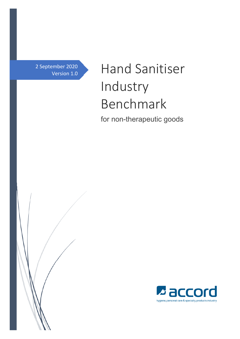2 September 2020 Version 1.0

# Hand Sanitiser Industry Benchmark for non-therapeutic goods



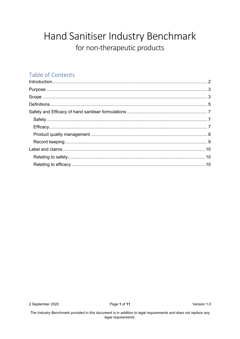## Hand Sanitiser Industry Benchmark for non-therapeutic products

## Table of Contents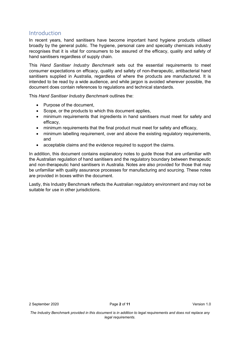## Introduction

In recent years, hand sanitisers have become important hand hygiene products utilised broadly by the general public. The hygiene, personal care and specialty chemicals industry recognises that it is vital for consumers to be assured of the efficacy, quality and safety of hand sanitisers regardless of supply chain.

This *Hand Sanitiser Industry Benchmark* sets out the essential requirements to meet consumer expectations on efficacy, quality and safety of non-therapeutic, antibacterial hand sanitisers supplied in Australia, regardless of where the products are manufactured. It is intended to be read by a wide audience, and while jargon is avoided wherever possible, the document does contain references to regulations and technical standards.

This *Hand Sanitiser Industry Benchmark* outlines the:

- Purpose of the document.
- Scope, or the products to which this document applies,
- minimum requirements that ingredients in hand sanitisers must meet for safety and efficacy,
- minimum requirements that the final product must meet for safety and efficacy,
- minimum labelling requirement, over and above the existing regulatory requirements, and
- acceptable claims and the evidence required to support the claims.

In addition, this document contains explanatory notes to guide those that are unfamiliar with the Australian regulation of hand sanitisers and the regulatory boundary between therapeutic and non-therapeutic hand sanitisers in Australia. Notes are also provided for those that may be unfamiliar with quality assurance processes for manufacturing and sourcing. These notes are provided in boxes within the document.

Lastly, this Industry Benchmark reflects the Australian regulatory environment and may not be suitable for use in other jurisdictions.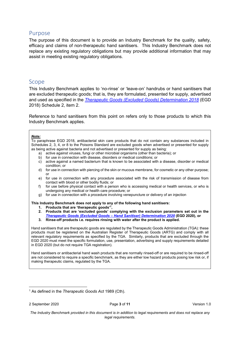## Purpose

The purpose of this document is to provide an Industry Benchmark for the quality, safety, efficacy and claims of non-therapeutic hand sanitisers. This Industry Benchmark does not replace any existing regulatory obligations but may provide additional information that may assist in meeting existing regulatory obligations.

## Scope

This Industry Benchmark applies to 'no-rinse' or 'leave-on' handrubs or hand sanitisers that are excluded therapeutic goods; that is, they are formulated, presented for supply, advertised and used as specified in the *Therapeutic Goods (Excluded Goods) Determination 2018* (EGD 2018) Schedule 2, item 2.

Reference to hand sanitisers from this point on refers only to those products to which this Industry Benchmark applies.

#### *Note:*

To paraphrase EGD 2018, antibacterial skin care products that do not contain any substances included in Schedules 2, 3, 4, or 8 to the Poisons Standard are excluded goods when advertised or presented for supply as being active against bacteria and not advertised or presented for supply as being:

- a) active against viruses, fungi or other microbial organisms (other than bacteria); or
- b) for use in connection with disease, disorders or medical conditions; or
- c) active against a named bacterium that is known to be associated with a disease, disorder or medical condition; or
- d) for use in connection with piercing of the skin or mucous membrane, for cosmetic or any other purpose; or
- e) for use in connection with any procedure associated with the risk of transmission of disease from contact with blood or other bodily fluids; or
- f) for use before physical contact with a person who is accessing medical or health services, or who is undergoing any medical or health care procedure; or
- g) for use in connection with a procedure involving venepuncture or delivery of an injection

**This Industry Benchmark does not apply to any of the following hand sanitisers:** 

- **1. Products that are 'therapeutic goods'<sup>1</sup> ,**
- **2. Products that are 'excluded goods' complying with the exclusion parameters set out in the**  *Therapeutic Goods (Excluded Goods – Hand Sanitiser) Determination 2020* **(EGD 2020), or**
- **3. Rinse-off products i.e. requires rinsing with water after the product is applied.**

Hand sanitisers that are therapeutic goods are regulated by the Therapeutic Goods Administration (TGA): these products must be registered on the Australian Register of Therapeutic Goods (ARTG) and comply with all relevant regulatory requirements as specified by the TGA. Similarly, products that are excluded through the EGD 2020 must meet the specific formulation, use, presentation, advertising and supply requirements detailed in EGD 2020 (but do not require TGA registration).

Hand sanitisers or antibacterial hand wash products that are normally rinsed-off or are required to be rinsed-off are not considered to require a specific benchmark, as they are either low hazard products posing low risk or, if making therapeutic claims, regulated by the TGA.

<sup>1</sup> As defined in the *Therapeutic Goods Act* 1989 (Cth).

*The Industry Benchmark provided in this document is in addition to legal requirements and does not replace any legal requirements.*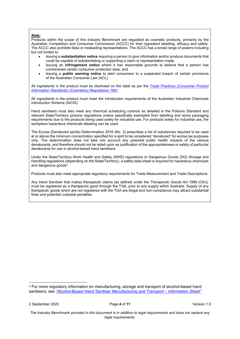#### *Note:*

Products within the scope of this Industry Benchmark are regulated as cosmetic products, primarily by the Australian Competition and Consumer Commission (ACCC) for their ingredient labelling, efficacy and safety. The ACCC also prohibits false or misleading representations. The ACCC has a broad range of powers including but not limited to:

- Issuing a **substantiation notice** requiring a person to give information and/or produce documents that could be capable of substantiating or supporting a claim or representation made,
- Issuing an **infringement notice** where it has reasonable grounds to believe that a person has contravened certain consumer protection laws, and
- Issuing a **public warning notice** to alert consumers to a suspected breach of certain provisions of the Australian Consumer Law (ACL).

All ingredients in the product must be disclosed on the label as per the *Trade Practices (Consumer Product Information Standards) (Cosmetics) Regulations 1991*.

All ingredients in the product must meet the introduction requirements of the Australian Industrial Chemicals Introduction Scheme (AICIS).

Hand sanitisers must also meet any chemical scheduling controls as detailed in the Poisons Standard and relevant State/Territory poisons regulations unless specifically exempted from labelling and some packaging requirements due to the products being used solely for industrial use. For products solely for industrial use, the workplace hazardous chemicals labelling can be used.

The Excise (Denatured spirits) Determination 2016 (No. 3) prescribes a list of substances required to be used at or above the minimum concentration specified for a sprit to be considered "denatured" for excise tax purposes only. The determination does not take into account any potential public health impacts of the various denaturants, and therefore should not be relied upon as justification of the appropriateness or safety of particular denaturants for use in alcohol-based hand sanitisers.

Under the State/Territory Work Health and Safety (WHS) regulations or Dangerous Goods (DG) Storage and Handling regulations (depending on the State/Territory), a safety data sheet is required for hazardous chemicals and dangerous goods<sup>2</sup>.

Products must also meet appropriate regulatory requirements for Trade Measurement and Trade Descriptions.

Any Hand Sanitiser that makes therapeutic claims (as defined under the *Therapeutic Goods Act* 1989 (Cth)), must be registered as a therapeutic good through the TGA, prior to any supply within Australia. Supply of any therapeutic goods which are not registered with the TGA are illegal and non-compliance may attract substantial fines and potential custodial penalties.

<sup>2</sup> For more regulatory information on manufacturing, storage and transport of alcohol-based hand sanitisers, see *"Alcohol-Based Hand Sanitiser Manufacturing and Transport – Information Sheet"*

*The Industry Benchmark provided in this document is in addition to legal requirements and does not replace any legal requirements.*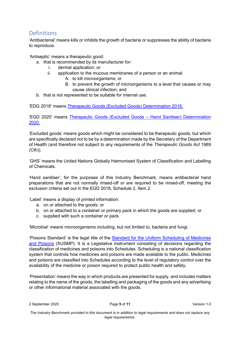## Definitions

'Antibacterial' means kills or inhibits the growth of bacteria or suppresses the ability of bacteria to reproduce.

'Antiseptic' means a therapeutic good:

a. that is recommended by its manufacturer for:

- i. dermal application; or
- ii. application to the mucous membranes of a person or an animal:
	- A. to kill microorganisms; or
	- B. to prevent the growth of microorganisms to a level that causes or may cause clinical infection; and
- b. that is not represented to be suitable for internal use.

'EDG 2018' means Therapeutic Goods (Excluded Goods) Determination 2018.

'EGD 2020' means Therapeutic Goods (Excluded Goods – Hand Sanitiser) Determination 2020.

'Excluded goods' means goods which might be considered to be therapeutic goods, but which are specifically declared not to be by a determination made by the Secretary of the Department of Health (and therefore not subject to any requirements of the *Therapeutic Goods Act* 1989 (Cth)).

'GHS' means the United Nations Globally Harmonised System of Classification and Labelling of Chemicals.

'Hand sanitiser', for the purposes of this Industry Benchmark, means antibacterial hand preparations that are not normally rinsed-off or are required to be rinsed-off, meeting the exclusion criteria set out in the EGD 2018, Schedule 2, Item 2.

'Label' means a display of printed information:

- a. on or attached to the goods; or
- b. on or attached to a container or primary pack in which the goods are supplied; or
- c. supplied with such a container or pack.

'Microbial' means microorganisms including, but not limited to, bacteria and fungi.

'Poisons Standard' is the legal title of the Standard for the Uniform Scheduling of Medicines and Poisons (SUSMP). It is a Legislative Instrument consisting of decisions regarding the classification of medicines and poisons into Schedules. Scheduling is a national classification system that controls how medicines and poisons are made available to the public. Medicines and poisons are classified into Schedules according to the level of regulatory control over the availability of the medicine or poison required to protect public health and safety.

'Presentation' means the way in which products are presented for supply, and includes matters relating to the name of the goods, the labelling and packaging of the goods and any advertising or other informational material associated with the goods.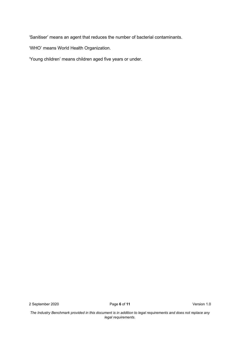'Sanitiser' means an agent that reduces the number of bacterial contaminants.

'WHO' means World Health Organization.

'Young children' means children aged five years or under.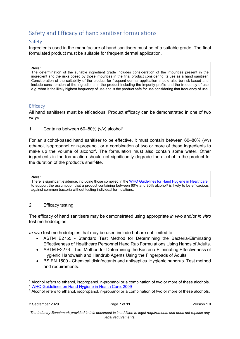## Safety and Efficacy of hand sanitiser formulations

### Safety

Ingredients used in the manufacture of hand sanitisers must be of a suitable grade. The final formulated product must be suitable for frequent dermal application.

#### *Note:*

The determination of the suitable ingredient grade includes consideration of the impurities present in the ingredient and the risks posed by those impurities in the final product considering its use as a hand sanitiser. Consideration of the suitability of the product for frequent dermal application should also be risk-based and include consideration of the ingredients in the product including the impurity profile and the frequency of use e.g. what is the likely highest frequency of use and is the product safe for use considering that frequency of use.

#### **Efficacy**

All hand sanitisers must be efficacious. Product efficacy can be demonstrated in one of two ways:

1. Contains between  $60-80\%$  (v/v) alcohol<sup>3</sup>

For an alcohol-based hand sanitiser to be effective, it must contain between  $60-80\%$  (v/v) ethanol, isopropanol or n-propanol, or a combination of two or more of these ingredients to make up the volume of alcohol<sup>4</sup>. The formulation must also contain some water. Other ingredients in the formulation should not significantly degrade the alcohol in the product for the duration of the product's shelf-life.

#### *Note:*

There is significant evidence, including those compiled in the WHO Guidelines for Hand Hygiene in Healthcare, to support the assumption that a product containing between 60% and 80% alcohol<sup>5</sup> is likely to be efficacious against common bacteria without testing individual formulations.

#### 2. Efficacy testing

The efficacy of hand sanitisers may be demonstrated using appropriate *in vivo* and/or *in vitro* test methodologies.

*In vivo* test methodologies that may be used include but are not limited to:

- ASTM E2755 Standard Test Method for Determining the Bacteria-Eliminating Effectiveness of Healthcare Personnel Hand Rub Formulations Using Hands of Adults.
- ASTM E2276 Test Method for Determining the Bacteria-Eliminating Effectiveness of Hygienic Handwash and Handrub Agents Using the Fingerpads of Adults.
- BS EN 1500 Chemical disinfectants and antiseptics. Hygienic handrub. Test method and requirements.

 $\rm{^3}$  Alcohol refers to ethanol, isopropanol, n-propanol or a combination of two or more of these alcohols. <sup>4</sup> WHO Guidelines on Hand Hygiene in Health Care, 2009

 $^{\rm 5}$  Alcohol refers to ethanol, isopropanol, n-propanol or a combination of two or more of these alcohols.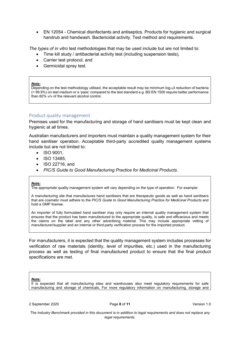EN 12054 - Chemical disinfectants and antiseptics. Products for hygienic and surgical handrub and handwash. Bactericidal activity. Test method and requirements.

*The types of in vitro* test methodologies that may be used include but are not limited to:

- Time kill study / antibacterial activity test (including suspension tests),
- Carrier test protocol, and
- Germicidal spray test.

#### *Note:*

Depending on the test methodology utilised, the acceptable result may be minimum  $log_{10}3$  reduction of bacteria (> 99.9%) on test medium or a 'pass' compared to the test standard e.g. BS EN 1500 require better performance than 60% v/v of the relevant alcohol control.

#### Product quality management

Premises used for the manufacturing and storage of hand sanitisers must be kept clean and hygienic at all times.

Australian manufacturers and importers must maintain a quality management system for their hand sanitiser operation. Acceptable third-party accredited quality management systems include but are not limited to:

- $\bullet$  ISO 9001
- ISO 13485.
- ISO 22716, and
- *PIC/S Guide to Good Manufacturing Practice for Medicinal Products.*

#### *Note:*

The appropriate quality management system will vary depending on the type of operation. For example:

A manufacturing site that manufactures hand sanitisers that are therapeutic goods as well as hand sanitisers that are cosmetic must adhere to the *PIC/S Guide to Good Manufacturing Practice for Medicinal Products* and hold a GMP license.

An importer of fully formulated hand sanitiser may only require an internal quality management system that ensures that the product has been manufactured to the appropriate quality, is safe and efficacious and meets the claims on the label and any other advertising material. This may include appropriate vetting of manufacturer/supplier and an internal or third-party verification process for the imported product.

For manufacturers, it is expected that the quality management system includes processes for verification of raw materials (identity, level of impurities, etc.) used in the manufacturing process as well as testing of final manufactured product to ensure that the final product specifications are met.

#### *Note:*

It is expected that all manufacturing sites and warehouses also meet regulatory requirements for safe manufacturing and storage of chemicals. For more regulatory information on manufacturing, storage and

*The Industry Benchmark provided in this document is in addition to legal requirements and does not replace any legal requirements.*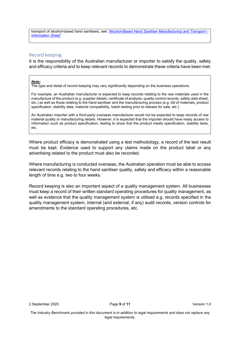transport of alcohol-based hand sanitisers, see *"Alcohol-Based Hand Sanitiser Manufacturing and Transport – Information Sheet"* 

#### Record keeping

It is the responsibility of the Australian manufacturer or importer to satisfy the quality, safety and efficacy criteria and to keep relevant records to demonstrate these criteria have been met.

#### *Note:*

The type and detail of record keeping may vary significantly depending on the business operations.

For example, an Australian manufacturer is expected to keep records relating to the raw materials used in the manufacture of the product (e.g. supplier details, certificate of analysis, quality control records, safety data sheet, etc.) as well as those relating to the hand sanitiser and the manufacturing process (e.g. bill of materials, product specification, stability data, material compatibility, batch testing prior to release for sale, etc.)

An Australian importer with a third-party overseas manufacturer would not be expected to keep records of raw material quality or manufacturing details. However, it is expected that the importer should have ready access to information such as product specification, testing to show that the product meets specification, stability tests, etc.

Where product efficacy is demonstrated using a test methodology, a record of the test result must be kept. Evidence used to support any claims made on the product label or any advertising related to the product must also be recorded.

Where manufacturing is conducted overseas, the Australian operation must be able to access relevant records relating to the hand sanitiser quality, safety and efficacy within a reasonable length of time e.g. two to four weeks.

Record keeping is also an important aspect of a quality management system. All businesses must keep a record of their written standard operating procedures for quality management, as well as evidence that the quality management system is utilised e.g. records specified in the quality management system, internal (and external, if any) audit records, version controls for amendments to the standard operating procedures, etc.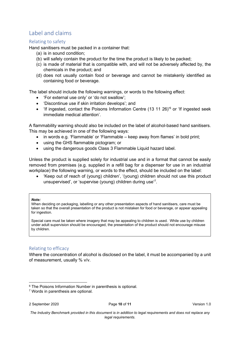## Label and claims

#### Relating to safety

Hand sanitisers must be packed in a container that:

- (a) is in sound condition;
- (b) will safely contain the product for the time the product is likely to be packed;
- (c) is made of material that is compatible with, and will not be adversely affected by, the chemicals in the product; and
- (d) does not usually contain food or beverage and cannot be mistakenly identified as containing food or beverage.

The label should include the following warnings, or words to the following effect:

- 'For external use only' or 'do not swallow';
- 'Discontinue use if skin irritation develops'; and
- 'If ingested, contact the Poisons Information Centre (13 11 26)<sup>6</sup> or 'If ingested seek immediate medical attention'.

A flammability warning should also be included on the label of alcohol-based hand sanitisers. This may be achieved in one of the following ways:

- in words e.g. 'Flammable' or 'Flammable keep away from flames' in bold print;
- using the GHS flammable pictogram; or
- using the dangerous goods Class 3 Flammable Liquid hazard label.

Unless the product is supplied solely for industrial use and in a format that cannot be easily removed from premises (e.g. supplied in a refill bag for a dispenser for use in an industrial workplace) the following warning, or words to the effect, should be included on the label:

 'Keep out of reach of (young) children', '(young) children should not use this product unsupervised', or 'supervise (young) children during use'<sup>7</sup> .

#### *Note:*

When deciding on packaging, labelling or any other presentation aspects of hand sanitisers, care must be taken so that the overall presentation of the product is not mistaken for food or beverage, or appear appealing for ingestion.

Special care must be taken where imagery that may be appealing to children is used. While use by children under adult supervision should be encouraged, the presentation of the product should not encourage misuse by children.

#### Relating to efficacy

Where the concentration of alcohol is disclosed on the label, it must be accompanied by a unit of measurement, usually % v/v.

<sup>6</sup> The Poisons Information Number in parenthesis is optional.

<sup>7</sup> Words in parenthesis are optional.

<sup>2</sup> September 2020 Page **10** of **11** Version 1.0

*The Industry Benchmark provided in this document is in addition to legal requirements and does not replace any legal requirements.*